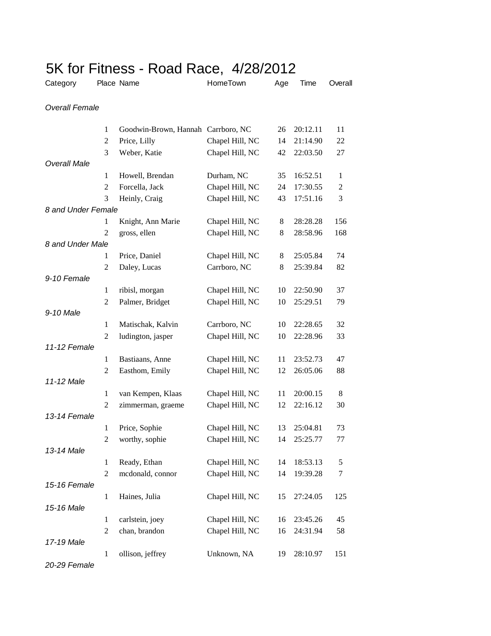|                       |                     | 5K for Fitness - Road Race, 4/28/2012 |                 |        |          |                |
|-----------------------|---------------------|---------------------------------------|-----------------|--------|----------|----------------|
| Category              |                     | Place Name                            | HomeTown        | Age    | Time     | Overall        |
| <b>Overall Female</b> |                     |                                       |                 |        |          |                |
|                       | 1                   | Goodwin-Brown, Hannah Carrboro, NC    |                 | 26     | 20:12.11 | 11             |
|                       | 2                   | Price, Lilly                          | Chapel Hill, NC | 14     | 21:14.90 | 22             |
|                       | 3                   | Weber, Katie                          | Chapel Hill, NC | 42     | 22:03.50 | 27             |
| <b>Overall Male</b>   |                     |                                       |                 |        |          |                |
|                       | 1                   | Howell, Brendan                       | Durham, NC      | 35     | 16:52.51 | $\mathbf{1}$   |
|                       | 2                   | Forcella, Jack                        | Chapel Hill, NC | 24     | 17:30.55 | $\overline{c}$ |
|                       | 3                   | Heinly, Craig                         | Chapel Hill, NC | 43     | 17:51.16 | 3              |
| 8 and Under Female    |                     |                                       |                 |        |          |                |
|                       | 1                   | Knight, Ann Marie                     | Chapel Hill, NC | 8      | 28:28.28 | 156            |
|                       | $\overline{2}$      | gross, ellen                          | Chapel Hill, NC | 8      | 28:58.96 | 168            |
| 8 and Under Male      |                     |                                       |                 |        |          | 74             |
|                       | 1<br>$\overline{2}$ | Price, Daniel                         | Chapel Hill, NC | 8<br>8 | 25:05.84 |                |
| 9-10 Female           |                     | Daley, Lucas                          | Carrboro, NC    |        | 25:39.84 | 82             |
|                       | 1                   | ribisl, morgan                        | Chapel Hill, NC | 10     | 22:50.90 | 37             |
|                       | 2                   | Palmer, Bridget                       | Chapel Hill, NC | 10     | 25:29.51 | 79             |
| 9-10 Male             |                     |                                       |                 |        |          |                |
|                       | 1                   | Matischak, Kalvin                     | Carrboro, NC    | 10     | 22:28.65 | 32             |
|                       | 2                   | ludington, jasper                     | Chapel Hill, NC | 10     | 22:28.96 | 33             |
| 11-12 Female          |                     |                                       |                 |        |          |                |
|                       | 1                   | Bastiaans, Anne                       | Chapel Hill, NC | 11     | 23:52.73 | 47             |
|                       | 2                   | Easthom, Emily                        | Chapel Hill, NC | 12     | 26:05.06 | 88             |
| 11-12 Male            |                     |                                       |                 |        |          |                |
|                       | 1                   | van Kempen, Klaas                     | Chapel Hill, NC | 11     | 20:00.15 | 8              |
|                       | $\overline{2}$      | zimmerman, graeme                     | Chapel Hill, NC | 12     | 22:16.12 | 30             |
| 13-14 Female          |                     |                                       |                 |        |          |                |
|                       | 1                   | Price, Sophie                         | Chapel Hill, NC | 13     | 25:04.81 | 73             |
|                       | $\overline{2}$      | worthy, sophie                        | Chapel Hill, NC | 14     | 25:25.77 | 77             |
| 13-14 Male            |                     |                                       |                 |        |          |                |
|                       | 1                   | Ready, Ethan                          | Chapel Hill, NC | 14     | 18:53.13 | 5              |
|                       | $\mathbf{2}$        | mcdonald, connor                      | Chapel Hill, NC | 14     | 19:39.28 | 7              |
| 15-16 Female          |                     |                                       |                 |        |          |                |
|                       | $\mathbf{1}$        | Haines, Julia                         | Chapel Hill, NC | 15     | 27:24.05 | 125            |
| 15-16 Male            |                     |                                       |                 |        |          |                |
|                       | 1                   | carlstein, joey                       | Chapel Hill, NC | 16     | 23:45.26 | 45             |
| 17-19 Male            | 2                   | chan, brandon                         | Chapel Hill, NC | 16     | 24:31.94 | 58             |
|                       | $\mathbf{1}$        | ollison, jeffrey                      | Unknown, NA     | 19     | 28:10.97 | 151            |
|                       |                     |                                       |                 |        |          |                |

*20-29 Female*